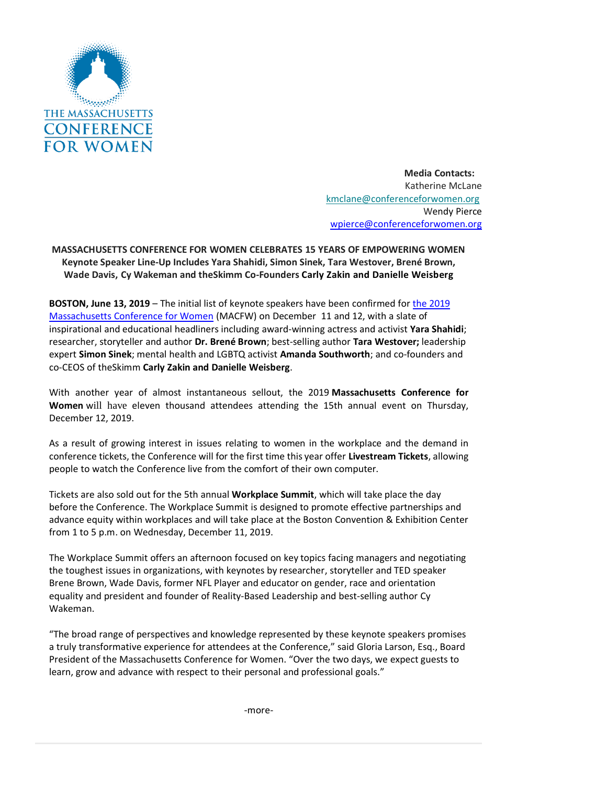

**Media Contacts:**  Katherine McLane [kmclane@conferenceforwomen.org](mailto:kmclane@conferenceforwomen.rog) Wendy Pierce [wpierce@conferenceforwomen.org](mailto:wpierce@conferenceforwomen.org)

**MASSACHUSETTS CONFERENCE FOR WOMEN CELEBRATES 15 YEARS OF EMPOWERING WOMEN Keynote Speaker Line-Up Includes Yara Shahidi, Simon Sinek, Tara Westover, Brené Brown, Wade Davis, Cy Wakeman and theSkimm Co-Founders Carly Zakin and Danielle Weisberg**

**BOSTON, June 13, 2019** – The initial list of keynote speakers have been confirmed for [the 2019](https://www.maconferenceforwomen.org/)  [Massachusetts Conference for Women](https://www.maconferenceforwomen.org/) (MACFW) on December 11 and 12, with a slate of inspirational and educational headliners including award-winning actress and activist **Yara Shahidi**; researcher, storyteller and author **Dr. Brené Brown**; best-selling author **Tara Westover;** leadership expert **Simon Sinek**; mental health and LGBTQ activist **Amanda Southworth**; and co-founders and co-CEOS of theSkimm **Carly Zakin and Danielle Weisberg**.

With another year of almost instantaneous sellout, the 2019 **Massachusetts Conference for Women** will have eleven thousand attendees attending the 15th annual event on Thursday, December 12, 2019.

As a result of growing interest in issues relating to women in the workplace and the demand in conference tickets, the Conference will for the first time this year offer **Livestream Tickets**, allowing people to watch the Conference live from the comfort of their own computer.

Tickets are also sold out for the 5th annual **Workplace Summit**, which will take place the day before the Conference. The Workplace Summit is designed to promote effective partnerships and advance equity within workplaces and will take place at the Boston Convention & Exhibition Center from 1 to 5 p.m. on Wednesday, December 11, 2019.

The Workplace Summit offers an afternoon focused on key topics facing managers and negotiating the toughest issues in organizations, with keynotes by researcher, storyteller and TED speaker Brene Brown, Wade Davis, former NFL Player and educator on gender, race and orientation equality and president and founder of Reality-Based Leadership and best-selling author Cy Wakeman.

"The broad range of perspectives and knowledge represented by these keynote speakers promises a truly transformative experience for attendees at the Conference," said Gloria Larson, Esq., Board President of the Massachusetts Conference for Women. "Over the two days, we expect guests to learn, grow and advance with respect to their personal and professional goals."